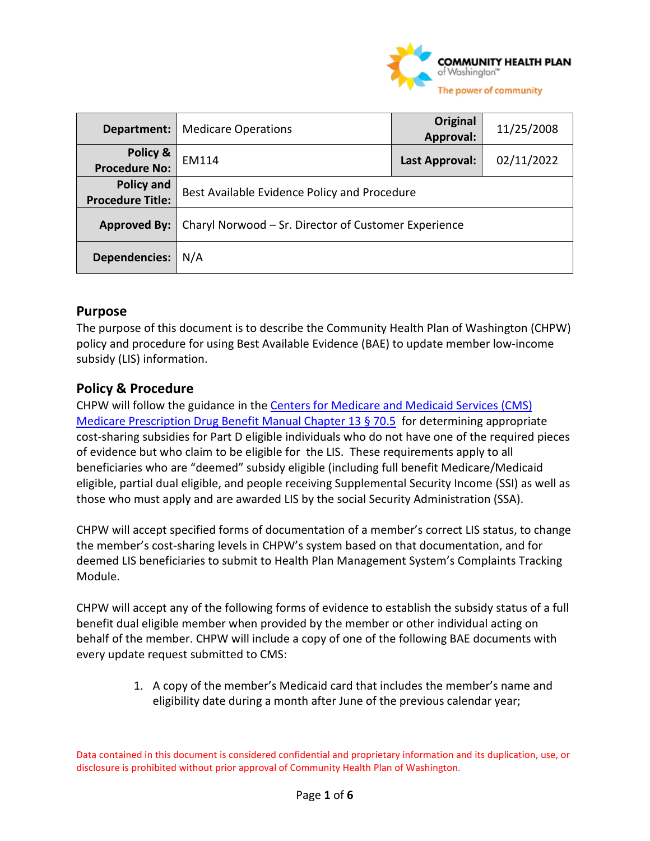

| Department:                           | <b>Medicare Operations</b>                           | Original<br>Approval: | 11/25/2008 |
|---------------------------------------|------------------------------------------------------|-----------------------|------------|
| Policy &<br><b>Procedure No:</b>      | EM114                                                | Last Approval:        | 02/11/2022 |
| Policy and<br><b>Procedure Title:</b> | Best Available Evidence Policy and Procedure         |                       |            |
| <b>Approved By:</b>                   | Charyl Norwood – Sr. Director of Customer Experience |                       |            |
| <b>Dependencies:</b>                  | N/A                                                  |                       |            |

#### **Purpose**

The purpose of this document is to describe the Community Health Plan of Washington (CHPW) policy and procedure for using Best Available Evidence (BAE) to update member low-income subsidy (LIS) information.

### **Policy & Procedure**

CHPW will follow the guidance in th[e Centers for Medicare and Medicaid Services \(CMS\)](https://www.cms.gov/Medicare/Prescription-Drug-Coverage/PrescriptionDrugCovContra/Downloads/Chapter-13-Premium-and-Cost-Sharing-Subsidies-for-Low-Income-Individuals-v09-14-2018.pdf)  [Medicare Prescription Drug Benefit Manual Chapter 13 § 70.5](https://www.cms.gov/Medicare/Prescription-Drug-Coverage/PrescriptionDrugCovContra/Downloads/Chapter-13-Premium-and-Cost-Sharing-Subsidies-for-Low-Income-Individuals-v09-14-2018.pdf) for determining appropriate cost-sharing subsidies for Part D eligible individuals who do not have one of the required pieces of evidence but who claim to be eligible for the LIS. These requirements apply to all beneficiaries who are "deemed" subsidy eligible (including full benefit Medicare/Medicaid eligible, partial dual eligible, and people receiving Supplemental Security Income (SSI) as well as those who must apply and are awarded LIS by the social Security Administration (SSA).

CHPW will accept specified forms of documentation of a member's correct LIS status, to change the member's cost-sharing levels in CHPW's system based on that documentation, and for deemed LIS beneficiaries to submit to Health Plan Management System's Complaints Tracking Module.

CHPW will accept any of the following forms of evidence to establish the subsidy status of a full benefit dual eligible member when provided by the member or other individual acting on behalf of the member. CHPW will include a copy of one of the following BAE documents with every update request submitted to CMS:

> 1. A copy of the member's Medicaid card that includes the member's name and eligibility date during a month after June of the previous calendar year;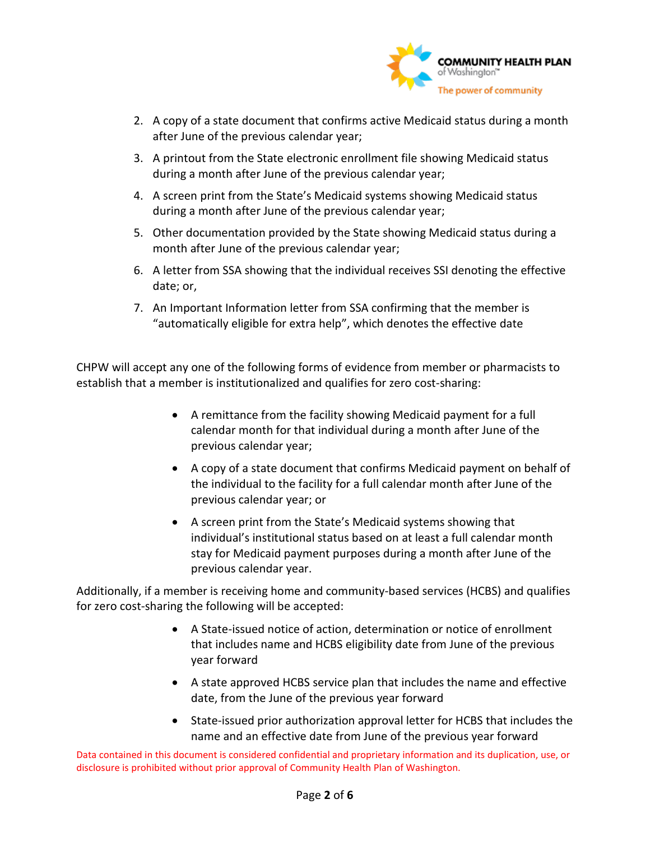

- 2. A copy of a state document that confirms active Medicaid status during a month after June of the previous calendar year;
- 3. A printout from the State electronic enrollment file showing Medicaid status during a month after June of the previous calendar year;
- 4. A screen print from the State's Medicaid systems showing Medicaid status during a month after June of the previous calendar year;
- 5. Other documentation provided by the State showing Medicaid status during a month after June of the previous calendar year;
- 6. A letter from SSA showing that the individual receives SSI denoting the effective date; or,
- 7. An Important Information letter from SSA confirming that the member is "automatically eligible for extra help", which denotes the effective date

CHPW will accept any one of the following forms of evidence from member or pharmacists to establish that a member is institutionalized and qualifies for zero cost-sharing:

- A remittance from the facility showing Medicaid payment for a full calendar month for that individual during a month after June of the previous calendar year;
- A copy of a state document that confirms Medicaid payment on behalf of the individual to the facility for a full calendar month after June of the previous calendar year; or
- A screen print from the State's Medicaid systems showing that individual's institutional status based on at least a full calendar month stay for Medicaid payment purposes during a month after June of the previous calendar year.

Additionally, if a member is receiving home and community-based services (HCBS) and qualifies for zero cost-sharing the following will be accepted:

- A State-issued notice of action, determination or notice of enrollment that includes name and HCBS eligibility date from June of the previous year forward
- A state approved HCBS service plan that includes the name and effective date, from the June of the previous year forward
- State-issued prior authorization approval letter for HCBS that includes the name and an effective date from June of the previous year forward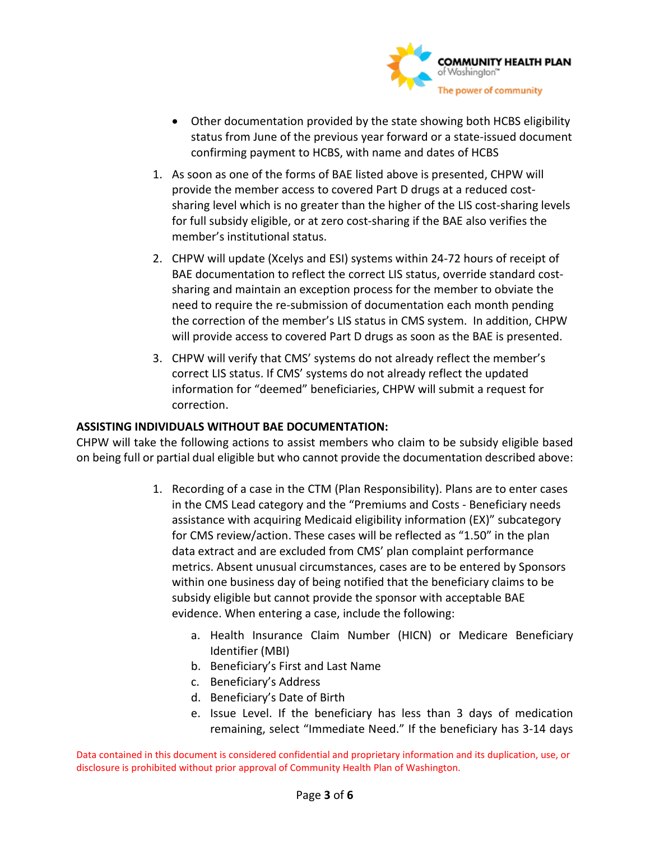

- Other documentation provided by the state showing both HCBS eligibility status from June of the previous year forward or a state-issued document confirming payment to HCBS, with name and dates of HCBS
- 1. As soon as one of the forms of BAE listed above is presented, CHPW will provide the member access to covered Part D drugs at a reduced costsharing level which is no greater than the higher of the LIS cost-sharing levels for full subsidy eligible, or at zero cost-sharing if the BAE also verifies the member's institutional status.
- 2. CHPW will update (Xcelys and ESI) systems within 24-72 hours of receipt of BAE documentation to reflect the correct LIS status, override standard costsharing and maintain an exception process for the member to obviate the need to require the re-submission of documentation each month pending the correction of the member's LIS status in CMS system. In addition, CHPW will provide access to covered Part D drugs as soon as the BAE is presented.
- 3. CHPW will verify that CMS' systems do not already reflect the member's correct LIS status. If CMS' systems do not already reflect the updated information for "deemed" beneficiaries, CHPW will submit a request for correction.

#### **ASSISTING INDIVIDUALS WITHOUT BAE DOCUMENTATION:**

CHPW will take the following actions to assist members who claim to be subsidy eligible based on being full or partial dual eligible but who cannot provide the documentation described above:

- 1. Recording of a case in the CTM (Plan Responsibility). Plans are to enter cases in the CMS Lead category and the "Premiums and Costs - Beneficiary needs assistance with acquiring Medicaid eligibility information (EX)" subcategory for CMS review/action. These cases will be reflected as "1.50" in the plan data extract and are excluded from CMS' plan complaint performance metrics. Absent unusual circumstances, cases are to be entered by Sponsors within one business day of being notified that the beneficiary claims to be subsidy eligible but cannot provide the sponsor with acceptable BAE evidence. When entering a case, include the following:
	- a. Health Insurance Claim Number (HICN) or Medicare Beneficiary Identifier (MBI)
	- b. Beneficiary's First and Last Name
	- c. Beneficiary's Address
	- d. Beneficiary's Date of Birth
	- e. Issue Level. If the beneficiary has less than 3 days of medication remaining, select "Immediate Need." If the beneficiary has 3-14 days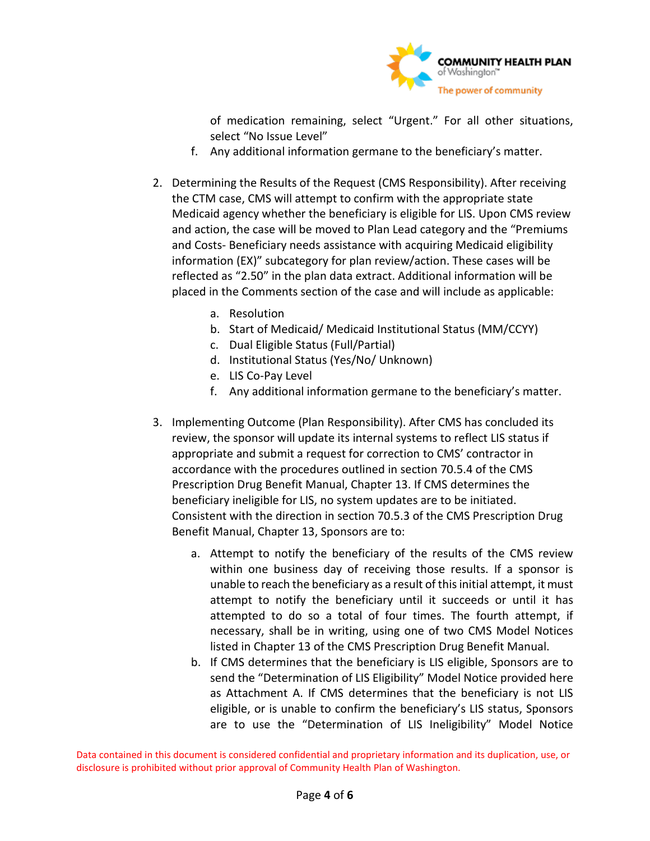

of medication remaining, select "Urgent." For all other situations, select "No Issue Level"

- f. Any additional information germane to the beneficiary's matter.
- 2. Determining the Results of the Request (CMS Responsibility). After receiving the CTM case, CMS will attempt to confirm with the appropriate state Medicaid agency whether the beneficiary is eligible for LIS. Upon CMS review and action, the case will be moved to Plan Lead category and the "Premiums and Costs- Beneficiary needs assistance with acquiring Medicaid eligibility information (EX)" subcategory for plan review/action. These cases will be reflected as "2.50" in the plan data extract. Additional information will be placed in the Comments section of the case and will include as applicable:
	- a. Resolution
	- b. Start of Medicaid/ Medicaid Institutional Status (MM/CCYY)
	- c. Dual Eligible Status (Full/Partial)
	- d. Institutional Status (Yes/No/ Unknown)
	- e. LIS Co-Pay Level
	- f. Any additional information germane to the beneficiary's matter.
- 3. Implementing Outcome (Plan Responsibility). After CMS has concluded its review, the sponsor will update its internal systems to reflect LIS status if appropriate and submit a request for correction to CMS' contractor in accordance with the procedures outlined in section 70.5.4 of the CMS Prescription Drug Benefit Manual, Chapter 13. If CMS determines the beneficiary ineligible for LIS, no system updates are to be initiated. Consistent with the direction in section 70.5.3 of the CMS Prescription Drug Benefit Manual, Chapter 13, Sponsors are to:
	- a. Attempt to notify the beneficiary of the results of the CMS review within one business day of receiving those results. If a sponsor is unable to reach the beneficiary as a result of this initial attempt, it must attempt to notify the beneficiary until it succeeds or until it has attempted to do so a total of four times. The fourth attempt, if necessary, shall be in writing, using one of two CMS Model Notices listed in Chapter 13 of the CMS Prescription Drug Benefit Manual.
	- b. If CMS determines that the beneficiary is LIS eligible, Sponsors are to send the "Determination of LIS Eligibility" Model Notice provided here as Attachment A. If CMS determines that the beneficiary is not LIS eligible, or is unable to confirm the beneficiary's LIS status, Sponsors are to use the "Determination of LIS Ineligibility" Model Notice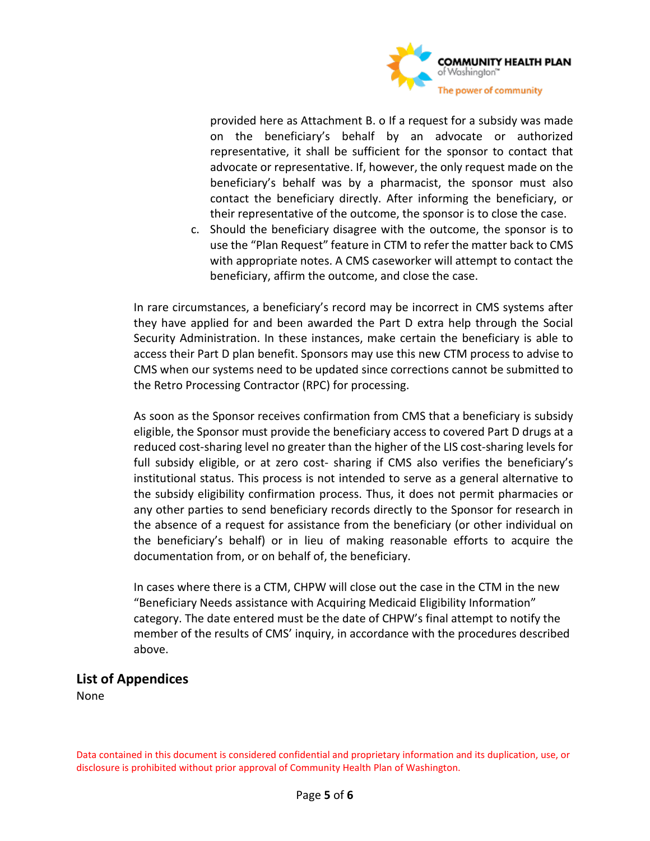

provided here as Attachment B. o If a request for a subsidy was made on the beneficiary's behalf by an advocate or authorized representative, it shall be sufficient for the sponsor to contact that advocate or representative. If, however, the only request made on the beneficiary's behalf was by a pharmacist, the sponsor must also contact the beneficiary directly. After informing the beneficiary, or their representative of the outcome, the sponsor is to close the case.

c. Should the beneficiary disagree with the outcome, the sponsor is to use the "Plan Request" feature in CTM to refer the matter back to CMS with appropriate notes. A CMS caseworker will attempt to contact the beneficiary, affirm the outcome, and close the case.

In rare circumstances, a beneficiary's record may be incorrect in CMS systems after they have applied for and been awarded the Part D extra help through the Social Security Administration. In these instances, make certain the beneficiary is able to access their Part D plan benefit. Sponsors may use this new CTM process to advise to CMS when our systems need to be updated since corrections cannot be submitted to the Retro Processing Contractor (RPC) for processing.

As soon as the Sponsor receives confirmation from CMS that a beneficiary is subsidy eligible, the Sponsor must provide the beneficiary access to covered Part D drugs at a reduced cost-sharing level no greater than the higher of the LIS cost-sharing levels for full subsidy eligible, or at zero cost- sharing if CMS also verifies the beneficiary's institutional status. This process is not intended to serve as a general alternative to the subsidy eligibility confirmation process. Thus, it does not permit pharmacies or any other parties to send beneficiary records directly to the Sponsor for research in the absence of a request for assistance from the beneficiary (or other individual on the beneficiary's behalf) or in lieu of making reasonable efforts to acquire the documentation from, or on behalf of, the beneficiary.

In cases where there is a CTM, CHPW will close out the case in the CTM in the new "Beneficiary Needs assistance with Acquiring Medicaid Eligibility Information" category. The date entered must be the date of CHPW's final attempt to notify the member of the results of CMS' inquiry, in accordance with the procedures described above.

### **List of Appendices**

None